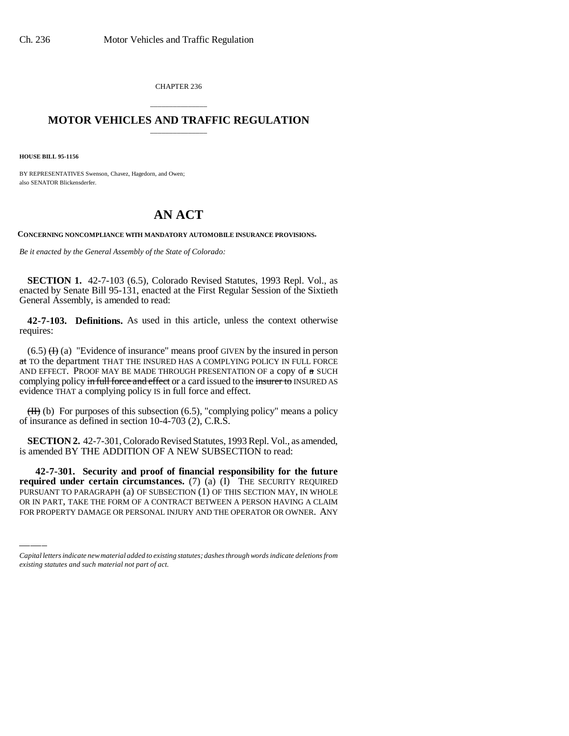CHAPTER 236

## \_\_\_\_\_\_\_\_\_\_\_\_\_\_\_ **MOTOR VEHICLES AND TRAFFIC REGULATION** \_\_\_\_\_\_\_\_\_\_\_\_\_\_\_

**HOUSE BILL 95-1156**

BY REPRESENTATIVES Swenson, Chavez, Hagedorn, and Owen; also SENATOR Blickensderfer.

## **AN ACT**

**CONCERNING NONCOMPLIANCE WITH MANDATORY AUTOMOBILE INSURANCE PROVISIONS.**

*Be it enacted by the General Assembly of the State of Colorado:*

**SECTION 1.** 42-7-103 (6.5), Colorado Revised Statutes, 1993 Repl. Vol., as enacted by Senate Bill 95-131, enacted at the First Regular Session of the Sixtieth General Assembly, is amended to read:

**42-7-103. Definitions.** As used in this article, unless the context otherwise requires:

 $(6.5)$  (H) (a) "Evidence of insurance" means proof GIVEN by the insured in person at TO the department THAT THE INSURED HAS A COMPLYING POLICY IN FULL FORCE AND EFFECT. PROOF MAY BE MADE THROUGH PRESENTATION OF a copy of  $\pi$  SUCH complying policy in full force and effect or a card issued to the insurer to INSURED AS evidence THAT a complying policy IS in full force and effect.

 $(H)$  (b) For purposes of this subsection (6.5), "complying policy" means a policy of insurance as defined in section 10-4-703 (2), C.R.S.

**SECTION 2.** 42-7-301, Colorado Revised Statutes, 1993 Repl. Vol., as amended, is amended BY THE ADDITION OF A NEW SUBSECTION to read:

 **required under certain circumstances.** (7) (a) (I) THE SECURITY REQUIRED **42-7-301. Security and proof of financial responsibility for the future** PURSUANT TO PARAGRAPH (a) OF SUBSECTION (1) OF THIS SECTION MAY, IN WHOLE OR IN PART, TAKE THE FORM OF A CONTRACT BETWEEN A PERSON HAVING A CLAIM FOR PROPERTY DAMAGE OR PERSONAL INJURY AND THE OPERATOR OR OWNER. ANY

*Capital letters indicate new material added to existing statutes; dashes through words indicate deletions from existing statutes and such material not part of act.*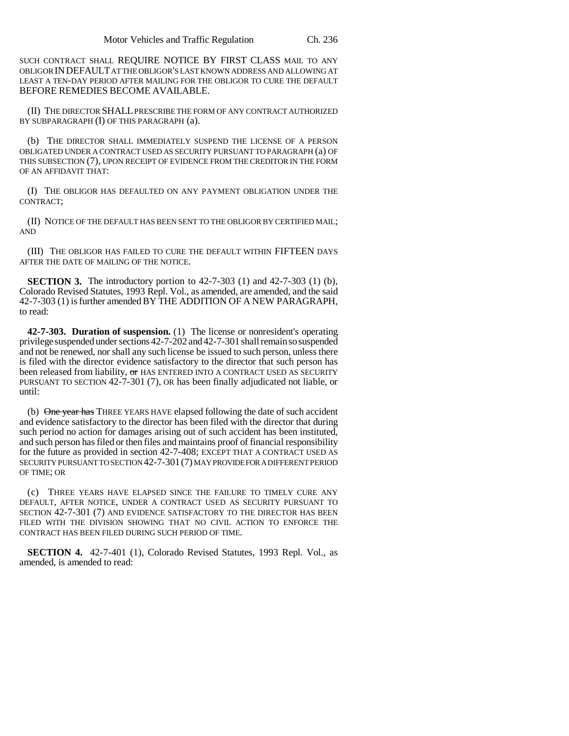SUCH CONTRACT SHALL REQUIRE NOTICE BY FIRST CLASS MAIL TO ANY OBLIGOR INDEFAULT AT THE OBLIGOR'S LAST KNOWN ADDRESS AND ALLOWING AT LEAST A TEN-DAY PERIOD AFTER MAILING FOR THE OBLIGOR TO CURE THE DEFAULT BEFORE REMEDIES BECOME AVAILABLE.

(II) THE DIRECTOR SHALL PRESCRIBE THE FORM OF ANY CONTRACT AUTHORIZED BY SUBPARAGRAPH (I) OF THIS PARAGRAPH (a).

(b) THE DIRECTOR SHALL IMMEDIATELY SUSPEND THE LICENSE OF A PERSON OBLIGATED UNDER A CONTRACT USED AS SECURITY PURSUANT TO PARAGRAPH (a) OF THIS SUBSECTION (7), UPON RECEIPT OF EVIDENCE FROM THE CREDITOR IN THE FORM OF AN AFFIDAVIT THAT:

(I) THE OBLIGOR HAS DEFAULTED ON ANY PAYMENT OBLIGATION UNDER THE CONTRACT;

(II) NOTICE OF THE DEFAULT HAS BEEN SENT TO THE OBLIGOR BY CERTIFIED MAIL; AND

(III) THE OBLIGOR HAS FAILED TO CURE THE DEFAULT WITHIN FIFTEEN DAYS AFTER THE DATE OF MAILING OF THE NOTICE.

**SECTION 3.** The introductory portion to 42-7-303 (1) and 42-7-303 (1) (b), Colorado Revised Statutes, 1993 Repl. Vol., as amended, are amended, and the said 42-7-303 (1) is further amended BY THE ADDITION OF A NEW PARAGRAPH, to read:

**42-7-303. Duration of suspension.** (1) The license or nonresident's operating privilege suspended under sections 42-7-202 and 42-7-301 shall remain so suspended and not be renewed, nor shall any such license be issued to such person, unless there is filed with the director evidence satisfactory to the director that such person has been released from liability, or HAS ENTERED INTO A CONTRACT USED AS SECURITY PURSUANT TO SECTION 42-7-301 (7), OR has been finally adjudicated not liable, or until:

(b) One year has THREE YEARS HAVE elapsed following the date of such accident and evidence satisfactory to the director has been filed with the director that during such period no action for damages arising out of such accident has been instituted, and such person has filed or then files and maintains proof of financial responsibility for the future as provided in section 42-7-408; EXCEPT THAT A CONTRACT USED AS SECURITY PURSUANT TO SECTION 42-7-301(7) MAY PROVIDE FOR A DIFFERENT PERIOD OF TIME; OR

(c) THREE YEARS HAVE ELAPSED SINCE THE FAILURE TO TIMELY CURE ANY DEFAULT, AFTER NOTICE, UNDER A CONTRACT USED AS SECURITY PURSUANT TO SECTION 42-7-301 (7) AND EVIDENCE SATISFACTORY TO THE DIRECTOR HAS BEEN FILED WITH THE DIVISION SHOWING THAT NO CIVIL ACTION TO ENFORCE THE CONTRACT HAS BEEN FILED DURING SUCH PERIOD OF TIME.

**SECTION 4.** 42-7-401 (1), Colorado Revised Statutes, 1993 Repl. Vol., as amended, is amended to read: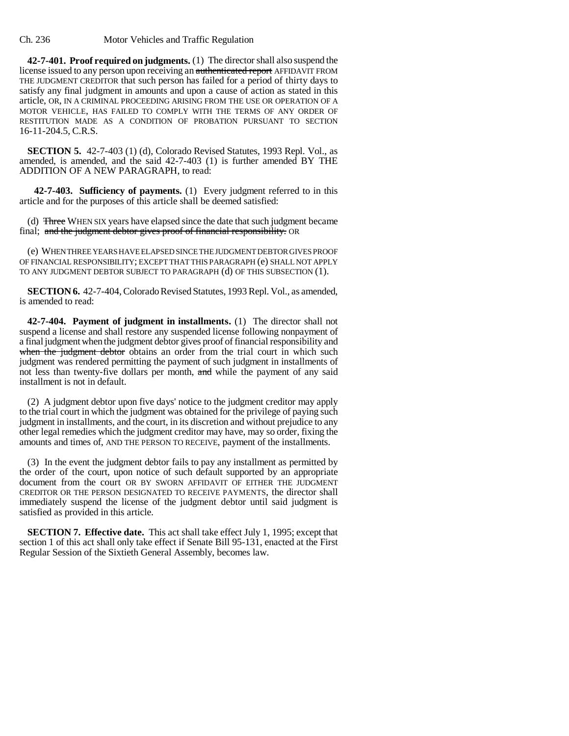Ch. 236 Motor Vehicles and Traffic Regulation

**42-7-401. Proof required on judgments.** (1) The director shall also suspend the license issued to any person upon receiving an authenticated report AFFIDAVIT FROM THE JUDGMENT CREDITOR that such person has failed for a period of thirty days to satisfy any final judgment in amounts and upon a cause of action as stated in this article, OR, IN A CRIMINAL PROCEEDING ARISING FROM THE USE OR OPERATION OF A MOTOR VEHICLE, HAS FAILED TO COMPLY WITH THE TERMS OF ANY ORDER OF RESTITUTION MADE AS A CONDITION OF PROBATION PURSUANT TO SECTION 16-11-204.5, C.R.S.

**SECTION 5.** 42-7-403 (1) (d), Colorado Revised Statutes, 1993 Repl. Vol., as amended, is amended, and the said 42-7-403 (1) is further amended BY THE ADDITION OF A NEW PARAGRAPH, to read:

 **42-7-403. Sufficiency of payments.** (1) Every judgment referred to in this article and for the purposes of this article shall be deemed satisfied:

(d) Three WHEN SIX years have elapsed since the date that such judgment became final; and the judgment debtor gives proof of financial responsibility. OR

(e) WHEN THREE YEARS HAVE ELAPSED SINCE THE JUDGMENT DEBTOR GIVES PROOF OF FINANCIAL RESPONSIBILITY; EXCEPT THAT THIS PARAGRAPH (e) SHALL NOT APPLY TO ANY JUDGMENT DEBTOR SUBJECT TO PARAGRAPH (d) OF THIS SUBSECTION (1).

**SECTION 6.** 42-7-404, Colorado Revised Statutes, 1993 Repl. Vol., as amended, is amended to read:

**42-7-404. Payment of judgment in installments.** (1) The director shall not suspend a license and shall restore any suspended license following nonpayment of a final judgment when the judgment debtor gives proof of financial responsibility and when the judgment debtor obtains an order from the trial court in which such judgment was rendered permitting the payment of such judgment in installments of not less than twenty-five dollars per month, and while the payment of any said installment is not in default.

(2) A judgment debtor upon five days' notice to the judgment creditor may apply to the trial court in which the judgment was obtained for the privilege of paying such judgment in installments, and the court, in its discretion and without prejudice to any other legal remedies which the judgment creditor may have, may so order, fixing the amounts and times of, AND THE PERSON TO RECEIVE, payment of the installments.

(3) In the event the judgment debtor fails to pay any installment as permitted by the order of the court, upon notice of such default supported by an appropriate document from the court OR BY SWORN AFFIDAVIT OF EITHER THE JUDGMENT CREDITOR OR THE PERSON DESIGNATED TO RECEIVE PAYMENTS, the director shall immediately suspend the license of the judgment debtor until said judgment is satisfied as provided in this article.

**SECTION 7. Effective date.** This act shall take effect July 1, 1995; except that section 1 of this act shall only take effect if Senate Bill 95-131, enacted at the First Regular Session of the Sixtieth General Assembly, becomes law.